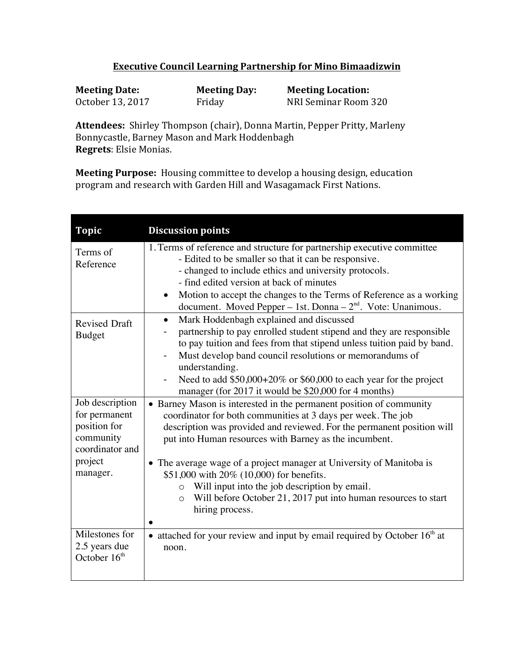## **Executive Council Learning Partnership for Mino Bimaadizwin**

| <b>Meeting Date:</b> | <b>Meeting Day:</b> | <b>Meeting Location:</b> |
|----------------------|---------------------|--------------------------|
| October 13, 2017     | Friday              | NRI Seminar Room 320     |

Attendees: Shirley Thompson (chair), Donna Martin, Pepper Pritty, Marleny Bonnycastle, Barney Mason and Mark Hoddenbagh **Regrets**: Elsie Monias.

**Meeting Purpose:** Housing committee to develop a housing design, education program and research with Garden Hill and Wasagamack First Nations.

| <b>Topic</b>                                                                                | <b>Discussion points</b>                                                                                                                                                                                                                                                                                                                                                                                           |
|---------------------------------------------------------------------------------------------|--------------------------------------------------------------------------------------------------------------------------------------------------------------------------------------------------------------------------------------------------------------------------------------------------------------------------------------------------------------------------------------------------------------------|
| Terms of<br>Reference                                                                       | 1. Terms of reference and structure for partnership executive committee<br>- Edited to be smaller so that it can be responsive.<br>- changed to include ethics and university protocols.<br>- find edited version at back of minutes<br>Motion to accept the changes to the Terms of Reference as a working<br>$\bullet$<br>document. Moved Pepper - 1st. Donna - $2nd$ . Vote: Unanimous.                         |
| <b>Revised Draft</b><br><b>Budget</b>                                                       | Mark Hoddenbagh explained and discussed<br>$\bullet$<br>partnership to pay enrolled student stipend and they are responsible<br>to pay tuition and fees from that stipend unless tuition paid by band.<br>Must develop band council resolutions or memorandums of<br>understanding.<br>Need to add $$50,000+20\%$ or \$60,000 to each year for the project<br>manager (for 2017 it would be \$20,000 for 4 months) |
| Job description<br>for permanent<br>position for<br>community<br>coordinator and<br>project | • Barney Mason is interested in the permanent position of community<br>coordinator for both communities at 3 days per week. The job<br>description was provided and reviewed. For the permanent position will<br>put into Human resources with Barney as the incumbent.<br>• The average wage of a project manager at University of Manitoba is                                                                    |
| manager.                                                                                    | \$51,000 with 20% (10,000) for benefits.<br>Will input into the job description by email.<br>$\circ$<br>Will before October 21, 2017 put into human resources to start<br>$\circ$<br>hiring process.                                                                                                                                                                                                               |
| Milestones for<br>2.5 years due<br>October 16 <sup>th</sup>                                 | • attached for your review and input by email required by October $16th$ at<br>noon.                                                                                                                                                                                                                                                                                                                               |